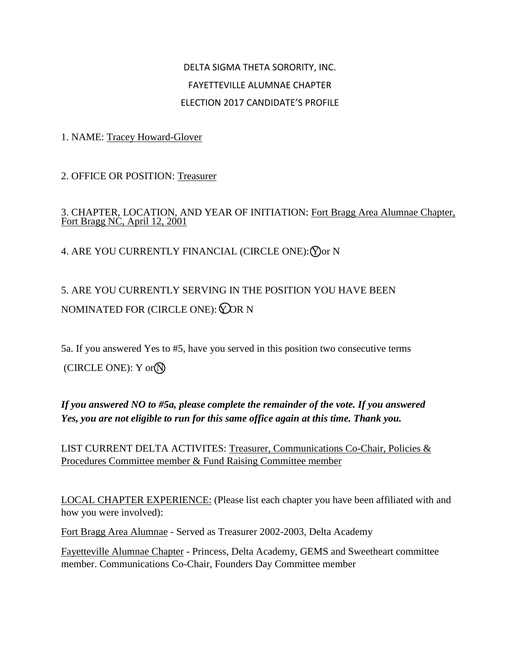## DELTA SIGMA THETA SORORITY, INC. FAYETTEVILLE ALUMNAE CHAPTER ELECTION 2017 CANDIDATE'S PROFILE

1. NAME: Tracey Howard-Glover

2. OFFICE OR POSITION: Treasurer

## 3. CHAPTER, LOCATION, AND YEAR OF INITIATION: Fort Bragg Area Alumnae Chapter, Fort Bragg NC, April 12, 2001

4. ARE YOU CURRENTLY FINANCIAL (CIRCLE ONE): Yor N

## 5. ARE YOU CURRENTLY SERVING IN THE POSITION YOU HAVE BEEN NOMINATED FOR (CIRCLE ONE):  $Q$ OR N

5a. If you answered Yes to #5, have you served in this position two consecutive terms (CIRCLE ONE):  $Y$  or  $\mathbb{N}$ 

## *If you answered NO to #5a, please complete the remainder of the vote. If you answered Yes, you are not eligible to run for this same office again at this time. Thank you.*

LIST CURRENT DELTA ACTIVITES: Treasurer, Communications Co-Chair, Policies & Procedures Committee member & Fund Raising Committee member

LOCAL CHAPTER EXPERIENCE: (Please list each chapter you have been affiliated with and how you were involved):

Fort Bragg Area Alumnae - Served as Treasurer 2002-2003, Delta Academy

Fayetteville Alumnae Chapter - Princess, Delta Academy, GEMS and Sweetheart committee member. Communications Co-Chair, Founders Day Committee member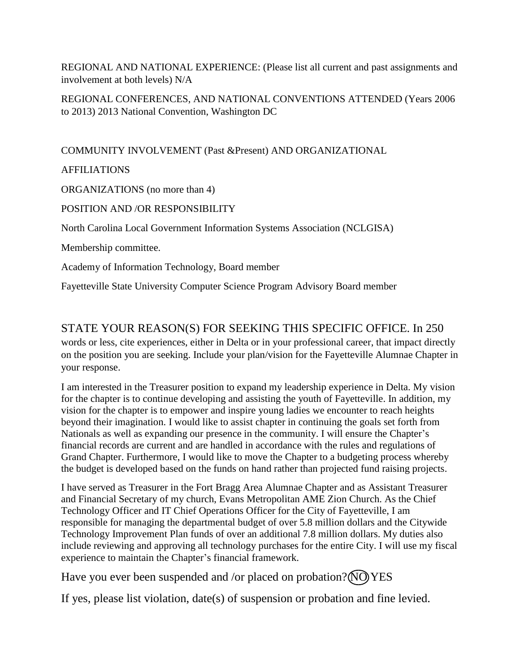REGIONAL AND NATIONAL EXPERIENCE: (Please list all current and past assignments and involvement at both levels) N/A

REGIONAL CONFERENCES, AND NATIONAL CONVENTIONS ATTENDED (Years 2006 to 2013) 2013 National Convention, Washington DC

COMMUNITY INVOLVEMENT (Past &Present) AND ORGANIZATIONAL

AFFILIATIONS

your response.

ORGANIZATIONS (no more than 4)

POSITION AND /OR RESPONSIBILITY

North Carolina Local Government Information Systems Association (NCLGISA)

Membership committee.

Academy of Information Technology, Board member

Fayetteville State University Computer Science Program Advisory Board member

STATE YOUR REASON(S) FOR SEEKING THIS SPECIFIC OFFICE. In 250 words or less, cite experiences, either in Delta or in your professional career, that impact directly on the position you are seeking. Include your plan/vision for the Fayetteville Alumnae Chapter in

I am interested in the Treasurer position to expand my leadership experience in Delta. My vision for the chapter is to continue developing and assisting the youth of Fayetteville. In addition, my vision for the chapter is to empower and inspire young ladies we encounter to reach heights beyond their imagination. I would like to assist chapter in continuing the goals set forth from Nationals as well as expanding our presence in the community. I will ensure the Chapter's financial records are current and are handled in accordance with the rules and regulations of Grand Chapter. Furthermore, I would like to move the Chapter to a budgeting process whereby the budget is developed based on the funds on hand rather than projected fund raising projects.

I have served as Treasurer in the Fort Bragg Area Alumnae Chapter and as Assistant Treasurer and Financial Secretary of my church, Evans Metropolitan AME Zion Church. As the Chief Technology Officer and IT Chief Operations Officer for the City of Fayetteville, I am responsible for managing the departmental budget of over 5.8 million dollars and the Citywide Technology Improvement Plan funds of over an additional 7.8 million dollars. My duties also include reviewing and approving all technology purchases for the entire City. I will use my fiscal experience to maintain the Chapter's financial framework.

Have you ever been suspended and /or placed on probation? (NO) YES

If yes, please list violation, date(s) of suspension or probation and fine levied.